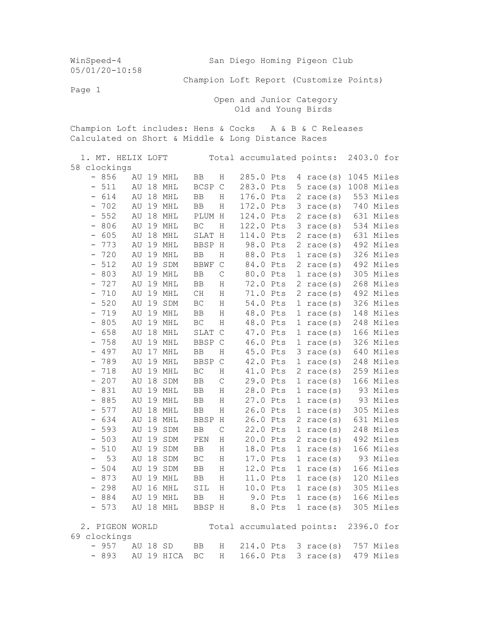WinSpeed-4 San Diego Homing Pigeon Club 05/01/20-10:58 Champion Loft Report (Customize Points) Page 1 Open and Junior Category Old and Young Birds Champion Loft includes: Hens & Cocks A & B & C Releases Calculated on Short & Middle & Long Distance Races 1. MT. HELIX LOFT Total accumulated points: 2403.0 for 58 clockings - 856 AU 19 MHL BB H 285.0 Pts 4 race(s) 1045 Miles - 511 AU 18 MHL BCSP C 283.0 Pts 5 race(s) 1008 Miles<br>- 614 AU 18 MHL BB H 176.0 Pts 2 race(s) 553 Miles AU 18 MHL BB H 176.0 Pts 2 race(s) 553 Miles - 702 AU 19 MHL BB H 172.0 Pts 3 race(s) 740 Miles - 552 AU 18 MHL PLUM H 124.0 Pts 2 race(s) 631 Miles - 806 AU 19 MHL BC H 122.0 Pts 3 race(s) 534 Miles - 605 AU 18 MHL SLAT H 114.0 Pts 2 race(s) 631 Miles - 773 AU 19 MHL BBSP H 98.0 Pts 2 race(s) 492 Miles - 720 AU 19 MHL BB H 88.0 Pts 1 race(s) 326 Miles - 512 AU 19 SDM BBWF C 84.0 Pts 2 race(s) 492 Miles - 803 AU 19 MHL BB C 80.0 Pts 1 race(s) 305 Miles - 727 AU 19 MHL BB H 72.0 Pts 2 race(s) 268 Miles - 710 AU 19 MHL CH H 71.0 Pts 2 race(s) 492 Miles - 520 AU 19 SDM BC H 54.0 Pts 1 race(s) 326 Miles - 719 AU 19 MHL BB H 48.0 Pts 1 race(s) 148 Miles - 805 AU 19 MHL BC H 48.0 Pts 1 race(s) 248 Miles<br>- 658 AU 18 MHL SLAT C 47.0 Pts 1 race(s) 166 Miles - 658 AU 18 MHL SLAT C 47.0 Pts 1 race(s) 166 Miles - 758 AU 19 MHL BBSP C 46.0 Pts 1 race(s) 326 Miles - 497 AU 17 MHL BB H 45.0 Pts 3 race(s) 640 Miles<br>- 789 AU 19 MHL BBSP C 42.0 Pts 1 race(s) 248 Miles - 789 AU 19 MHL BBSP C 42.0 Pts 1 race(s) 248 Miles - 718 AU 19 MHL BC H 41.0 Pts 2 race(s) 259 Miles - 207 AU 18 SDM BB C 29.0 Pts 1 race(s) 166 Miles - 831 AU 19 MHL BB H 28.0 Pts 1 race(s) 93 Miles - 885 AU 19 MHL BB H 27.0 Pts 1 race(s) 93 Miles - 577 AU 18 MHL BB H 26.0 Pts 1 race(s) 305 Miles - 634 AU 18 MHL BBSP H 26.0 Pts 2 race(s) 631 Miles - 593 AU 19 SDM BB C 22.0 Pts 1 race(s) 248 Miles<br>- 503 AU 19 SDM PEN H 20.0 Pts 2 race(s) 492 Miles PEN H 20.0 Pts 2 race(s) 492 Miles - 510 AU 19 SDM BB H 18.0 Pts 1 race(s) 166 Miles - 53 AU 18 SDM BC H 17.0 Pts 1 race(s) 93 Miles - 504 AU 19 SDM BB H 12.0 Pts 1 race(s) 166 Miles - 873 AU 19 MHL BB H 11.0 Pts 1 race(s) 120 Miles - 298 AU 16 MHL SIL H 10.0 Pts 1 race(s) 305 Miles - 884 AU 19 MHL BB H 9.0 Pts 1 race(s) 166 Miles - 573 AU 18 MHL BBSP H 8.0 Pts 1 race(s) 305 Miles 2. PIGEON WORLD Total accumulated points: 2396.0 for 69 clockings - 957 AU 18 SD BB H 214.0 Pts 3 race(s) 757 Miles - 893 AU 19 HICA BC H 166.0 Pts 3 race(s) 479 Miles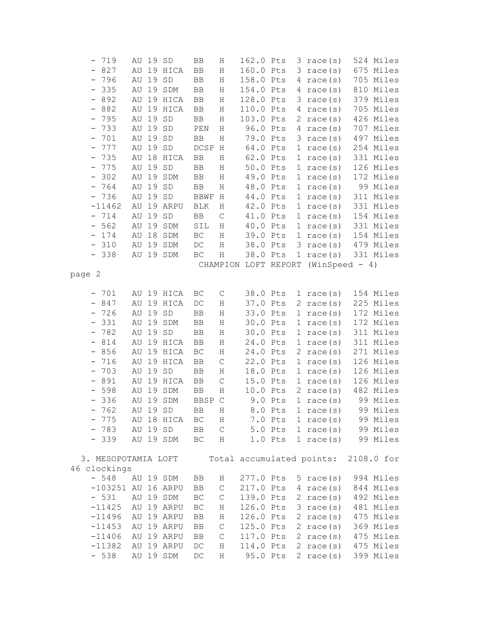|        | $-719$                   |    | AU 19 SD |                      | BB                   | Η                | 162.0 Pts |           |              | $3 \text{ race}(s)$                 | 524 Miles  |
|--------|--------------------------|----|----------|----------------------|----------------------|------------------|-----------|-----------|--------------|-------------------------------------|------------|
|        | $-827$                   | AU |          | 19 HICA              | BB                   | Η                | 160.0 Pts |           |              | $3 \text{ race}(s)$                 | 675 Miles  |
|        | $-796$                   | AU |          | 19 SD                | $_{\rm BB}$          | Η                | 158.0 Pts |           | 4            | race(s)                             | 705 Miles  |
|        | $-335$                   | AU |          | 19 SDM               | BB                   | Η                | 154.0 Pts |           | 4            | race(s)                             | 810 Miles  |
|        | $-892$                   | AU |          | 19 HICA              | BB                   | Η                | 128.0 Pts |           | 3            | race(s)                             | 379 Miles  |
|        | 882<br>$-$ .             | AU |          | 19 HICA              | BB                   | Η                | 110.0 Pts |           | 4            | race(s)                             | 705 Miles  |
|        | 795<br>$\qquad \qquad -$ | AU | 19       | ${\tt SD}$           | $_{\rm BB}$          | Η                | 103.0 Pts |           | 2            | race(s)                             | 426 Miles  |
|        | 733<br>$\equiv$          | AU | 19       | $\operatorname{SD}$  | PEN                  | Η                | 96.0 Pts  |           | 4            | race(s)                             | 707 Miles  |
|        | $-701$                   | AU | 19       | $\operatorname{SD}$  | BB                   | Η                | 79.0 Pts  |           |              | $3 \text{ race}(s)$                 | 497 Miles  |
|        | $-777$                   | AU |          | 19 SD                | DCSP H               |                  | 64.0 Pts  |           |              | 1 race $(s)$                        | 254 Miles  |
|        | $-735$                   | AU |          | 18 HICA              | BB                   | $\rm H$          | 62.0 Pts  |           |              | 1 race $(s)$                        | 331 Miles  |
|        | $-775$                   | AU |          | 19 SD                | BB                   | Η                | 50.0 Pts  |           |              | 1 race $(s)$                        | 126 Miles  |
|        | 302<br>$\equiv$          | AU |          | 19 SDM               | BB                   | $\rm H$          | 49.0 Pts  |           |              | 1 race $(s)$                        | 172 Miles  |
|        | $-764$                   | AU |          | 19 SD                | BB                   | Η                | 48.0 Pts  |           |              | 1 race $(s)$                        | 99 Miles   |
|        | $-736$                   | ΑU |          | 19 SD                | <b>BBWF</b>          | H                | 44.0 Pts  |           |              | 1 race $(s)$                        | 311 Miles  |
|        | $-11462$                 | AU |          | 19 ARPU              | $\operatorname{BLK}$ | Η                | 42.0 Pts  |           |              | 1 race $(s)$                        | 331 Miles  |
|        | $-714$                   | AU |          | 19 SD                | BB                   | $\mathsf C$      | 41.0 Pts  |           |              | 1 race $(s)$                        | 154 Miles  |
|        | $-562$                   | AU | 19       | $\operatorname{SDM}$ | SIL                  | Η                | 40.0 Pts  |           | $\mathbf{1}$ | race(s)                             | 331 Miles  |
|        | 174<br>$\equiv$          | AU | 18       | $\operatorname{SDM}$ | $\operatorname{BC}$  | Η                | 39.0 Pts  |           | $\mathbf{1}$ | race(s)                             | 154 Miles  |
|        | 310<br>$\frac{1}{2}$     | AU | 19       | $\operatorname{SDM}$ | $\mathop{\rm DC}$    | $\rm H$          | 38.0 Pts  |           | 3            | race(s)                             | 479 Miles  |
|        | $-338$                   |    |          | AU 19 SDM            | $\operatorname{BC}$  | Η                | 38.0 Pts  |           |              | 1 race $(s)$                        | 331 Miles  |
|        |                          |    |          |                      |                      |                  |           |           |              | CHAMPION LOFT REPORT (WinSpeed - 4) |            |
| page 2 |                          |    |          |                      |                      |                  |           |           |              |                                     |            |
|        |                          |    |          |                      |                      |                  |           |           |              |                                     |            |
|        | $-701$                   |    |          | AU 19 HICA           | BC                   | $\mathsf C$      | 38.0 Pts  |           |              | 1 race $(s)$                        | 154 Miles  |
|        | $-847$                   | AU |          | 19 HICA              | $\mathop{\rm DC}$    | Η                | 37.0 Pts  |           |              | 2 race $(s)$                        | 225 Miles  |
|        | $-726$                   | AU | 19 SD    |                      | BB                   | $\rm H$          | 33.0 Pts  |           |              | 1 race $(s)$                        | 172 Miles  |
|        | $-331$                   | AU |          | 19 SDM               | BB                   | Η                | 30.0 Pts  |           |              | 1 race $(s)$                        | 172 Miles  |
|        | $-782$                   | AU |          | 19 SD                | ${\rm BB}$           | Η                | 30.0 Pts  |           |              | 1 race $(s)$                        | 311 Miles  |
|        | $-814$                   | AU |          | 19 HICA              | BB                   | Η                | 24.0 Pts  |           |              | 1 race $(s)$                        | 311 Miles  |
|        | 856<br>$\sim$            | AU |          | 19 HICA              | $\operatorname{BC}$  | Η                | 24.0 Pts  |           | 2            | race(s)                             | 271 Miles  |
|        | 716<br>-                 | AU |          | 19 HICA              | BB                   | $\mathsf C$      | 22.0 Pts  |           |              | 1 race $(s)$                        | 126 Miles  |
|        | 703<br>-                 | AU | 19       | $\operatorname{SD}$  | BB                   | Η                | 18.0 Pts  |           |              | 1 race $(s)$                        | 126 Miles  |
|        | 891<br>$\sim$            | AU |          | 19 HICA              | BB                   | C                | 15.0 Pts  |           |              | 1 race $(s)$                        | 126 Miles  |
|        | $-598$                   | AU |          | 19 SDM               | ${\rm BB}$           | Η                | 10.0 Pts  |           |              | 2 race $(s)$                        | 482 Miles  |
|        | $-336$                   |    |          | AU 19 SDM            | BBSP                 | $\mathsf C$      |           | $9.0$ Pts |              | 1 race $(s)$                        | 99 Miles   |
|        | $-762$                   |    | AU 19 SD |                      | BB                   | Η                |           | 8.0 Pts   |              | 1 race $(s)$                        | 99 Miles   |
|        | 775                      |    |          | AU 18 HICA           | $\operatorname{BC}$  | $\rm H$          |           | 7.0 Pts   |              | 1 race $(s)$                        | 99 Miles   |
|        | 783                      |    | AU 19 SD |                      | BB                   | $\mathsf C$      |           | 5.0 Pts   |              | 1 race $(s)$                        | 99 Miles   |
|        | -<br>$-339$              |    |          | AU 19 SDM            |                      |                  |           |           |              |                                     | 99 Miles   |
|        |                          |    |          |                      | BC                   | H                |           | $1.0$ Pts |              | 1 race $(s)$                        |            |
|        | 3. MESOPOTAMIA LOFT      |    |          |                      |                      |                  |           |           |              | Total accumulated points:           | 2108.0 for |
|        | 46 clockings             |    |          |                      |                      |                  |           |           |              |                                     |            |
|        | $-548$                   |    |          | AU 19 SDM            | BB                   | Η                | 277.0 Pts |           |              | 5 race $(s)$                        | 994 Miles  |
|        | $-103251$ AU 16 ARPU     |    |          |                      | BB                   | $\mathsf C$      | 217.0 Pts |           |              | $4 \text{ race}(s)$                 | 844 Miles  |
|        | $-531$                   |    |          | AU 19 SDM            | BC                   | $\mathsf C$      | 139.0 Pts |           |              | 2 race $(s)$                        | 492 Miles  |
|        | $-11425$                 |    |          | AU 19 ARPU           | BC                   |                  | 126.0 Pts |           |              | $3 \text{ race}(s)$                 | 481 Miles  |
|        |                          | AU |          | 19 ARPU              |                      | Η                |           |           |              |                                     | 475 Miles  |
|        | $-11496$                 |    |          | AU 19 ARPU           | BB                   | Η<br>$\mathsf C$ | 126.0 Pts |           |              | 2 race $(s)$                        | 369 Miles  |
|        | $-11453$                 |    |          | AU 19 ARPU           | BB                   |                  | 125.0 Pts |           |              | 2 race $(s)$<br>2 race $(s)$        | 475 Miles  |
|        | $-11406$                 |    |          |                      | BB                   | $\mathsf C$      | 117.0 Pts |           |              | 2 race $(s)$                        |            |
|        | $-11382$                 |    |          | AU 19 ARPU           | DC                   | $\rm H$          | 114.0 Pts |           |              |                                     | 475 Miles  |
|        | $-538$                   |    |          | AU 19 SDM            | $\mathop{\rm DC}$    | Η                | 95.0 Pts  |           |              | 2 race $(s)$                        | 399 Miles  |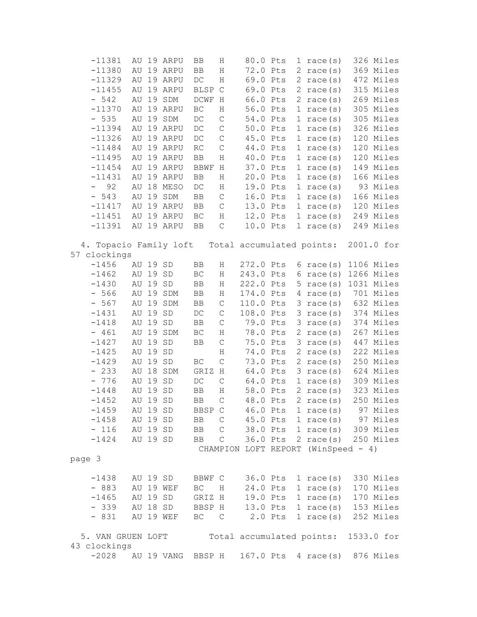| $-11381$                |             |          | AU 19 ARPU | BB                     | Η              | 80.0 Pts  |              | 1 race $(s)$                         | 326 Miles  |
|-------------------------|-------------|----------|------------|------------------------|----------------|-----------|--------------|--------------------------------------|------------|
| $-11380$                |             |          | AU 19 ARPU | ${\rm BB}$             | $\rm H$        | 72.0 Pts  |              | 2 race $(s)$                         | 369 Miles  |
| $-11329$                |             |          | AU 19 ARPU | $\mathop{\rm DC}$      | Η              | 69.0 Pts  |              | 2 race $(s)$                         | 472 Miles  |
| $-11455$                | AU          |          | 19 ARPU    | <b>BLSP</b>            | $\mathsf{C}$   | 69.0 Pts  |              | 2 race $(s)$                         | 315 Miles  |
| $-542$                  | AU          |          | 19 SDM     | DCWF H                 |                | 66.0 Pts  |              | 2 race $(s)$                         | 269 Miles  |
| $-11370$                | AU          |          | 19 ARPU    | $\operatorname{BC}$    | Η              | 56.0 Pts  |              | 1 race $(s)$                         | 305 Miles  |
| $-535$                  | AU          |          | 19 SDM     | $\mathop{\rm DC}$      | $\mathsf C$    | 54.0 Pts  |              | 1 race $(s)$                         | 305 Miles  |
| $-11394$                | AU          |          | 19 ARPU    | $\mathop{\rm DC}$      | $\mathsf C$    | 50.0 Pts  |              | 1 race $(s)$                         | 326 Miles  |
| $-11326$                |             |          | AU 19 ARPU | $\mathop{\rm DC}$      | $\mathsf C$    | 45.0 Pts  |              | 1 race $(s)$                         | 120 Miles  |
| $-11484$                |             |          | AU 19 ARPU | $\mathbb{R}\mathbb{C}$ | $\mathsf C$    | 44.0 Pts  |              | 1 race $(s)$                         | 120 Miles  |
| $-11495$                | AU          |          | 19 ARPU    | ${\rm BB}$             | $\rm H$        | 40.0 Pts  |              |                                      | 120 Miles  |
| $-11454$                |             |          |            |                        |                |           |              | 1 race $(s)$                         | 149 Miles  |
|                         | AU          |          | 19 ARPU    | BBWF                   | $\,$ H         | 37.0 Pts  |              | 1 race $(s)$                         |            |
| $-11431$                | AU          |          | 19 ARPU    | BB                     | $\rm H$        | 20.0 Pts  |              | 1 race $(s)$                         | 166 Miles  |
| $\frac{1}{2}$<br>92     | AU          |          | 18 MESO    | $\mathop{\rm DC}$      | $\rm H$        | 19.0 Pts  |              | 1 race $(s)$                         | 93 Miles   |
| $-543$                  |             |          | AU 19 SDM  | ${\rm BB}$             | $\mathsf C$    | 16.0 Pts  |              | 1 race $(s)$                         | 166 Miles  |
| $-11417$                |             |          | AU 19 ARPU | $\rm BB$               | $\mathsf C$    | 13.0 Pts  |              | 1 race $(s)$                         | 120 Miles  |
| $-11451$                |             |          | AU 19 ARPU | $\operatorname{BC}$    | $\rm H$        | 12.0 Pts  |              | 1 race $(s)$                         | 249 Miles  |
| $-11391$                |             |          | AU 19 ARPU | BB                     | $\mathsf C$    | 10.0 Pts  |              | 1 race $(s)$                         | 249 Miles  |
|                         |             |          |            |                        |                |           |              | Total accumulated points:            |            |
| 4. Topacio Family loft  |             |          |            |                        |                |           |              |                                      | 2001.0 for |
| 57 clockings<br>$-1456$ |             |          |            |                        |                | 272.0 Pts |              |                                      |            |
|                         |             | AU 19 SD |            | $_{\rm BB}$            | $\rm H$        |           |              | $6 \text{ race}(s)$                  | 1106 Miles |
| $-1462$                 | AU          | 19       | SD         | $\operatorname{BC}$    | Η              | 243.0 Pts | 6            | race(s)                              | 1266 Miles |
| $-1430$                 | AU          | 19       | SD         | ${\rm BB}$             | $\rm H$        | 222.0 Pts | 5.           | race(s)                              | 1031 Miles |
| $-566$                  | AU          |          | 19 SDM     | ${\rm BB}$             | $\rm H$        | 174.0 Pts | 4            | race(s)                              | 701 Miles  |
| $-567$                  | AU          | 19       | SDM        | $\rm BB$               | $\mathsf C$    | 110.0 Pts | 3            | race(s)                              | 632 Miles  |
| $-1431$                 | AU          | 19       | SD         | $\mathop{\rm DC}$      | $\mathsf C$    | 108.0 Pts |              | $3 \text{ race}(s)$                  | 374 Miles  |
| $-1418$                 | AU          | 19       | SD         | ${\rm BB}$             | $\mathsf C$    | 79.0 Pts  | 3            | race(s)                              | 374 Miles  |
| $-461$                  | AU          | 19       | SDM        | $\operatorname{BC}$    | $\rm H$        | 78.0 Pts  | 2            | race(s)                              | 267 Miles  |
| $-1427$                 | $\hbox{AU}$ | 19       | SD         | BB                     | $\mathsf C$    | 75.0 Pts  | 3            | race(s)                              | 447 Miles  |
| $-1425$                 | AU          | 19       | SD         |                        | Η              | 74.0 Pts  | 2            | race(s)                              | 222 Miles  |
| $-1429$                 | AU          | 19       | SD         | BC                     | $\mathsf C$    | 73.0 Pts  | 2            | race(s)                              | 250 Miles  |
| $-233$                  | AU          | 18       | SDM        | GRIZ H                 |                | 64.0 Pts  | 3            | race(s)                              | 624 Miles  |
| $-776$                  | AU          | 19       | SD         | $\mathop{\rm DC}$      | $\mathbf C$    | 64.0 Pts  | $\mathbf{1}$ | race(s)                              | 309 Miles  |
| $-1448$                 | AU 19       |          | SD         | $\rm BB$               | Η              | 58.0 Pts  | 2            | race(s)                              | 323 Miles  |
| $-1452$                 |             | AU 19 SD |            | BB                     | $\mathsf C$    | 48.0 Pts  |              | 2 race $(s)$                         | 250 Miles  |
| $-1459$                 |             | AU 19 SD |            | BBSP C                 |                |           |              | $46.0$ Pts $1$ race(s)               | 97 Miles   |
| $-1458$                 |             | AU 19 SD |            | BB                     | $\mathsf C$    |           |              | 45.0 Pts 1 race(s) 97 Miles          |            |
| $-116$                  |             | AU 19 SD |            | BB C                   |                |           |              | 38.0 Pts 1 race(s) 309 Miles         |            |
| $-1424$                 |             | AU 19 SD |            | BB                     | $\mathsf C$    |           |              | 36.0 Pts 2 race(s)                   | 250 Miles  |
|                         |             |          |            |                        |                |           |              | CHAMPION LOFT REPORT (WinSpeed - 4)  |            |
| page 3                  |             |          |            |                        |                |           |              |                                      |            |
|                         |             |          |            |                        |                |           |              |                                      |            |
| $-1438$                 |             |          | AU 19 SD   |                        |                |           |              | BBWF C 36.0 Pts 1 race(s)            | 330 Miles  |
| $-883$                  |             |          | AU 19 WEF  | $\operatorname{BC}$    | H              |           |              | $24.0$ Pts $1$ race(s)               | 170 Miles  |
| $-1465$                 |             | AU 19 SD |            | GRIZ H                 |                |           |              | $19.0$ Pts $1$ race(s)               | 170 Miles  |
| $-339$                  |             |          | AU 18 SD   | BBSP H                 |                |           |              | $13.0$ Pts $1$ race(s)               | 153 Miles  |
| $-831$                  |             |          | AU 19 WEF  | $\operatorname{BC}$    | $\overline{C}$ |           |              | $2.0$ Pts $1$ race(s)                | 252 Miles  |
|                         |             |          |            |                        |                |           |              |                                      |            |
| 5. VAN GRUEN LOFT       |             |          |            |                        |                |           |              | Total accumulated points: 1533.0 for |            |
| 43 clockings            |             |          |            |                        |                |           |              |                                      |            |
| $-2028$                 |             |          | AU 19 VANG | BBSP H                 |                |           |              | 167.0 Pts 4 race(s) 876 Miles        |            |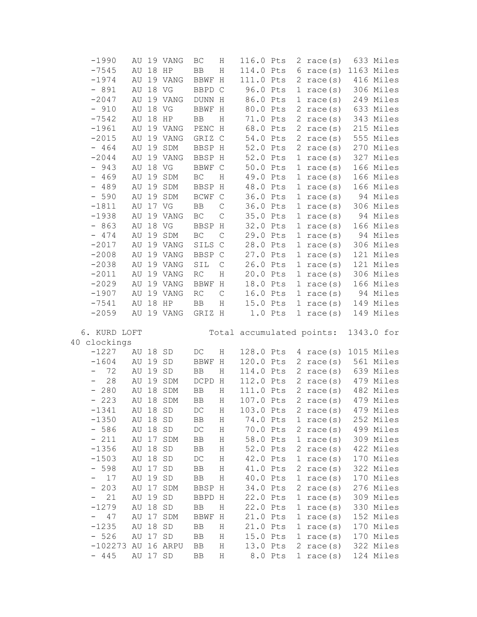| $-1990$                         |             |          | AU 19 VANG          | BC                         | Η           | 116.0 Pts           |         |              | 2 race $(s)$              | 633 Miles              |
|---------------------------------|-------------|----------|---------------------|----------------------------|-------------|---------------------|---------|--------------|---------------------------|------------------------|
| $-7545$                         | AU          | 18 HP    |                     | BB                         | Η           | 114.0 Pts           |         |              | $6 \text{ race}(s)$       | 1163 Miles             |
| $-1974$                         | AU          |          | 19 VANG             | ${\tt BBWF}$               | H           | 111.0 Pts           |         |              | 2 race $(s)$              | 416 Miles              |
| $-891$                          | AU          | 18 VG    |                     | BBPD C                     |             | 96.0 Pts            |         | 1            | race(s)                   | 306 Miles              |
| $-2047$                         | AU          |          | 19 VANG             | DUNN H                     |             | 86.0 Pts            |         | ı,           | race(s)                   | 249 Miles              |
| $-910$                          | AU          | 18 VG    |                     | BBWF H                     |             | 80.0 Pts            |         |              | $2 \text{ race}(s)$       | 633 Miles              |
| $-7542$                         | AU          | 18 HP    |                     | $\rm BB$                   | Η           | 71.0 Pts            |         | 2            | race(s)                   | 343 Miles              |
| $-1961$                         |             |          | AU 19 VANG          | PENC H                     |             | 68.0 Pts            |         | $\mathbf{2}$ | race(s)                   | 215 Miles              |
| $-2015$                         |             |          | AU 19 VANG          | GRIZ C                     |             | 54.0 Pts            |         |              | 2 race $(s)$              | 555 Miles              |
| $-464$                          |             |          | AU 19 SDM           | BBSP H                     |             | 52.0 Pts            |         |              | 2 race $(s)$              | 270 Miles              |
| $-2044$                         |             |          | AU 19 VANG          | BBSP H                     |             | 52.0 Pts            |         |              | 1 race $(s)$              | 327 Miles              |
| $-943$                          | AU          | 18 VG    |                     | BBWF C                     |             | 50.0 Pts            |         |              | 1 race $(s)$              | 166 Miles              |
| $-469$                          | AU          |          | 19 SDM              | $\operatorname{BC}$        | $\rm H$     | 49.0 Pts            |         |              | 1 race $(s)$              | 166 Miles              |
| $-489$                          |             |          | AU 19 SDM           | BBSP H                     |             | 48.0 Pts            |         |              | 1 race $(s)$              | 166 Miles              |
| $-590$                          | AU          |          | 19 SDM              | BCWF C                     |             | 36.0 Pts            |         |              | 1 race $(s)$              | 94 Miles               |
| $-1811$                         |             | AU 17 VG |                     | $\rm BB$                   | $\mathsf C$ | 36.0 Pts            |         |              | 1 race $(s)$              | 306 Miles              |
| $-1938$                         | AU          |          | 19 VANG             | $\operatorname{BC}$        | $\mathsf C$ | 35.0 Pts            |         | 1            | race(s)                   | 94 Miles               |
| $-863$                          | AU          | 18 VG    |                     | BBSP H                     |             | 32.0 Pts            |         | 1            | race(s)                   | 166 Miles              |
| $-474$                          | AU          |          | 19 SDM              | $\operatorname{BC}$        | $\mathsf C$ | 29.0 Pts            |         | 1            | race(s)                   | 94 Miles               |
| $-2017$                         | AU          |          | 19 VANG             | SILS C                     |             | 28.0 Pts            |         | 1            | race (s)                  | 306 Miles              |
| $-2008$                         | AU          |          | 19 VANG             | BBSP C                     |             | 27.0 Pts            |         | 1            | race(s)                   | 121 Miles              |
| $-2038$                         | AU          |          | 19 VANG             | $\texttt{SIL}$             | $\mathsf C$ | 26.0 Pts            |         |              | 1 race $(s)$              | 121 Miles              |
| $-2011$                         | AU          |          | 19 VANG             | RC                         | $\rm H$     | 20.0 Pts            |         |              | 1 race $(s)$              | 306 Miles              |
| $-2029$                         | AU          |          | 19 VANG             | BBWF                       | H           | 18.0 Pts            |         |              | 1 race $(s)$              | 166 Miles              |
| $-1907$                         | AU          |          | 19 VANG             | RC                         | $\mathsf C$ | 16.0 Pts            |         | 1            | race(s)                   | 94 Miles               |
| $-7541$                         | AU          | 18 HP    |                     | $_{\rm BB}$                | $\rm H$     | 15.0 Pts            |         | 1            | race (s)                  | 149 Miles              |
|                                 |             |          |                     |                            |             |                     |         |              |                           |                        |
|                                 |             |          |                     |                            |             |                     |         |              |                           |                        |
| $-2059$                         |             |          | AU 19 VANG          | GRIZ H                     |             |                     | 1.0 Pts |              | 1 race $(s)$              | 149 Miles              |
|                                 |             |          |                     |                            |             |                     |         |              |                           |                        |
| 6. KURD LOFT                    |             |          |                     |                            |             |                     |         |              | Total accumulated points: | 1343.0 for             |
| 40 clockings                    |             |          |                     |                            |             |                     |         |              |                           |                        |
| $-1227$                         |             | AU 18 SD |                     | DC                         | Η           | 128.0 Pts           |         |              | 4 race $(s)$              | 1015 Miles             |
| $-1604$<br>-                    | AU          | 19 SD    |                     | <b>BBWF</b>                | $\,$ H      | 120.0 Pts           |         |              | 2 race $(s)$              | 561 Miles              |
| 72<br>$\qquad \qquad -$         | AU          | 19 SD    |                     | $_{\rm BB}$                | Η           | 114.0 Pts           |         |              | 2 race $(s)$              | 639 Miles              |
| 28                              | AU          |          | 19 SDM              | DCPD H                     |             | 112.0 Pts           |         |              | 2 race $(s)$              | 479 Miles              |
| $-280$                          | AU          |          | 18 SDM              | $\rm BB$                   | Η           | 111.0 Pts           |         |              | 2 race $(s)$              | 482 Miles              |
| $-223$                          |             |          | AU 18 SDM           | BB                         | Η           | 107.0 Pts           |         |              | 2 race $(s)$              | 479 Miles              |
| $-1341$                         |             | AU 18 SD |                     | $DC$                       | Η           | 103.0 Pts           |         |              | 2 race(s)                 | 479 Miles              |
| $-1350$                         | AU          | 18       | SD                  | BB                         | Η           | 74.0 Pts            |         | 1            | race(s)                   | 252 Miles              |
| $-586$                          | AU          | 18       | SD                  | $\mathop{\rm DC}\nolimits$ | $\rm H$     | 70.0 Pts            |         | 2            | race(s)                   | 499 Miles              |
| 211<br>$\overline{\phantom{0}}$ | ΑU          | 17       | SDM                 | ${\rm BB}$                 | $\rm H$     | 58.0 Pts            |         | 1            | race(s)                   | 309 Miles              |
| $-1356$                         | AU          | 18       | ${\tt SD}$          | BB                         | $\rm H$     | 52.0 Pts            |         | 2.           | race(s)                   | 422 Miles              |
| $-1503$                         | AU          | 18       | ${\tt SD}$          | $\mathop{\rm DC}\nolimits$ | Η           | 42.0 Pts            |         | 1            | race(s)                   | 170 Miles              |
| $-598$                          | AU          | 17       | $\operatorname{SD}$ | $\rm BB$                   | $\rm H$     | 41.0 Pts            |         | 2            | race(s)                   | 322 Miles              |
| 17<br>-                         | AU          | 19       | SD                  | $\rm BB$                   | Η           | 40.0 Pts            |         | ı            | race(s)                   | 170 Miles              |
| 203<br>н.<br>-                  | AU          | 17       | SDM                 | BBSP                       | Η           | 34.0 Pts            |         | 2            | race(s)                   | 276 Miles              |
| 21                              | ΑU          | 19       | SD                  | BBPD H                     |             | 22.0 Pts            |         | ı            | race(s)                   | 309 Miles              |
| $-1279$                         | AU          | 18       | SD                  | $\rm BB$                   | Η           | 22.0 Pts            |         | ı            | race(s)                   | 330 Miles              |
| 47<br>-                         | $\hbox{AU}$ | 17       | SDM                 | BBWF                       | Η           | 21.0 Pts            |         | ı            | race(s)                   | 152 Miles              |
| $-1235$                         | AU          | 18       | SD                  | BB                         | Η           | 21.0 Pts            |         | ı            | race(s)                   | 170 Miles              |
| $-526$                          | AU          | 17       | $\operatorname{SD}$ | BB                         | Η           | 15.0 Pts            |         | ı<br>2       | race(s)                   | 170 Miles              |
| $-102273$<br>$-445$             | AU<br>AU    | 17       | 16 ARPU<br>SD       | BB<br>BB                   | Η<br>Η      | 13.0 Pts<br>8.0 Pts |         | 1            | race(s)<br>race(s)        | 322 Miles<br>124 Miles |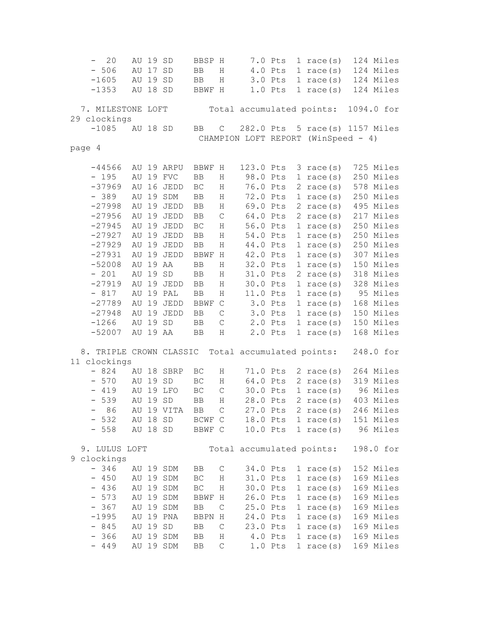- 20 AU 19 SD BBSP H 7.0 Pts 1 race(s) 124 Miles - 506 AU 17 SD BB H 4.0 Pts 1 race(s) 124 Miles -1605 AU 19 SD BB H 3.0 Pts 1 race(s) 124 Miles -1353 AU 18 SD BBWF H 1.0 Pts 1 race(s) 124 Miles 7. MILESTONE LOFT Total accumulated points: 1094.0 for 29 clockings -1085 AU 18 SD BB C 282.0 Pts 5 race(s) 1157 Miles CHAMPION LOFT REPORT (WinSpeed - 4) page 4 -44566 AU 19 ARPU BBWF H 123.0 Pts 3 race(s) 725 Miles - 195 AU 19 FVC BB H 98.0 Pts 1 race(s) 250 Miles -37969 AU 16 JEDD BC H 76.0 Pts 2 race(s) 578 Miles - 389 AU 19 SDM BB H 72.0 Pts 1 race(s) 250 Miles -27998 AU 19 JEDD BB H 69.0 Pts 2 race(s) 495 Miles  $-27956$  AU 19 JEDD BB C 64.0 Pts 2 race(s) 217 Miles  $-27945$  AU 19 JEDD BC H 56.0 Pts 1 race(s) 250 Miles -27927 AU 19 JEDD BB H 54.0 Pts 1 race(s) 250 Miles  $-27929$  AU 19 JEDD BB H  $44.0$  Pts 1 race(s) 250 Miles -27931 AU 19 JEDD BBWF H 42.0 Pts 1 race(s) 307 Miles -52008 AU 19 AA BB H 32.0 Pts 1 race(s) 150 Miles - 201 AU 19 SD BB H 31.0 Pts 2 race(s) 318 Miles -27919 AU 19 JEDD BB H 30.0 Pts 1 race(s) 328 Miles - 817 AU 19 PAL BB H 11.0 Pts 1 race(s) 95 Miles -27789 AU 19 JEDD BBWF C 3.0 Pts 1 race(s) 168 Miles -27948 AU 19 JEDD BB C 3.0 Pts 1 race(s) 150 Miles -1266 AU 19 SD BB C 2.0 Pts 1 race(s) 150 Miles -52007 AU 19 AA BB H 2.0 Pts 1 race(s) 168 Miles 8. TRIPLE CROWN CLASSIC Total accumulated points: 248.0 for 11 clockings - 824 AU 18 SBRP BC H 71.0 Pts 2 race(s) 264 Miles - 570 AU 19 SD BC H 64.0 Pts 2 race(s) 319 Miles - 419 AU 19 LFO BC C 30.0 Pts 1 race(s) 96 Miles - 539 AU 19 SD BB H 28.0 Pts 2 race(s) 403 Miles - 86 AU 19 VITA BB C 27.0 Pts 2 race(s) 246 Miles - 532 AU 18 SD BCWF C 18.0 Pts 1 race(s) 151 Miles - 558 AU 18 SD BBWF C 10.0 Pts 1 race(s) 96 Miles 9. LULUS LOFT Total accumulated points: 198.0 for 9 clockings - 346 AU 19 SDM BB C 34.0 Pts 1 race(s) 152 Miles - 450 AU 19 SDM BC H 31.0 Pts 1 race(s) 169 Miles - 436 AU 19 SDM BC H 30.0 Pts 1 race(s) 169 Miles<br>- 573 AU 19 SDM BBWF H 26.0 Pts 1 race(s) 169 Miles - 573 AU 19 SDM BBWF H 26.0 Pts 1 race(s) 169 Miles - 367 AU 19 SDM BB C 25.0 Pts 1 race(s) 169 Miles -1995 AU 19 PNA BBPN H 24.0 Pts 1 race(s) 169 Miles - 845 AU 19 SD BB C 23.0 Pts 1 race(s) 169 Miles - 366 AU 19 SDM BB H 4.0 Pts 1 race(s) 169 Miles<br>- 449 AU 19 SDM BB C 1.0 Pts 1 race(s) 169 Miles  $-449$  AU 19 SDM BB C 1.0 Pts 1 race(s)